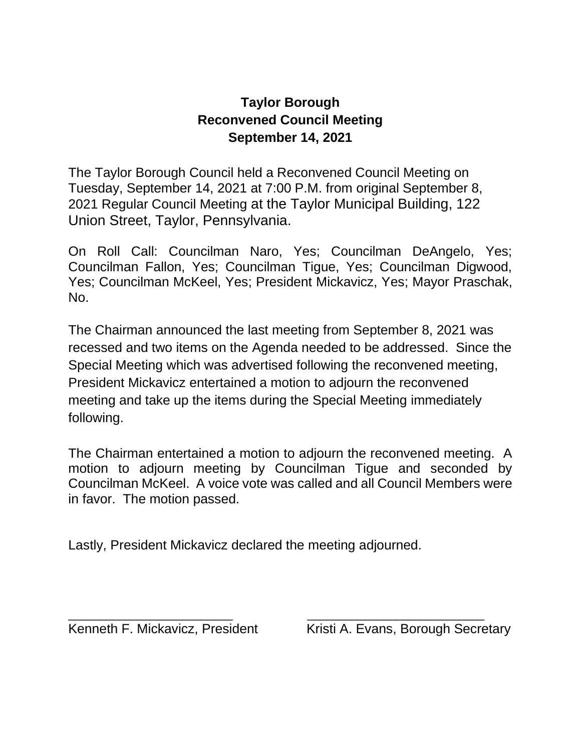## **Taylor Borough Reconvened Council Meeting September 14, 2021**

The Taylor Borough Council held a Reconvened Council Meeting on Tuesday, September 14, 2021 at 7:00 P.M. from original September 8, 2021 Regular Council Meeting at the Taylor Municipal Building, 122 Union Street, Taylor, Pennsylvania.

On Roll Call: Councilman Naro, Yes; Councilman DeAngelo, Yes; Councilman Fallon, Yes; Councilman Tigue, Yes; Councilman Digwood, Yes; Councilman McKeel, Yes; President Mickavicz, Yes; Mayor Praschak, No.

The Chairman announced the last meeting from September 8, 2021 was recessed and two items on the Agenda needed to be addressed. Since the Special Meeting which was advertised following the reconvened meeting, President Mickavicz entertained a motion to adjourn the reconvened meeting and take up the items during the Special Meeting immediately following.

The Chairman entertained a motion to adjourn the reconvened meeting. A motion to adjourn meeting by Councilman Tigue and seconded by Councilman McKeel. A voice vote was called and all Council Members were in favor. The motion passed.

\_\_\_\_\_\_\_\_\_\_\_\_\_\_\_\_\_\_\_\_\_\_\_\_\_\_ \_\_\_\_\_\_\_\_\_\_\_\_\_\_\_\_\_\_\_\_\_\_\_\_\_\_\_\_

Lastly, President Mickavicz declared the meeting adjourned.

Kenneth F. Mickavicz, President Kristi A. Evans, Borough Secretary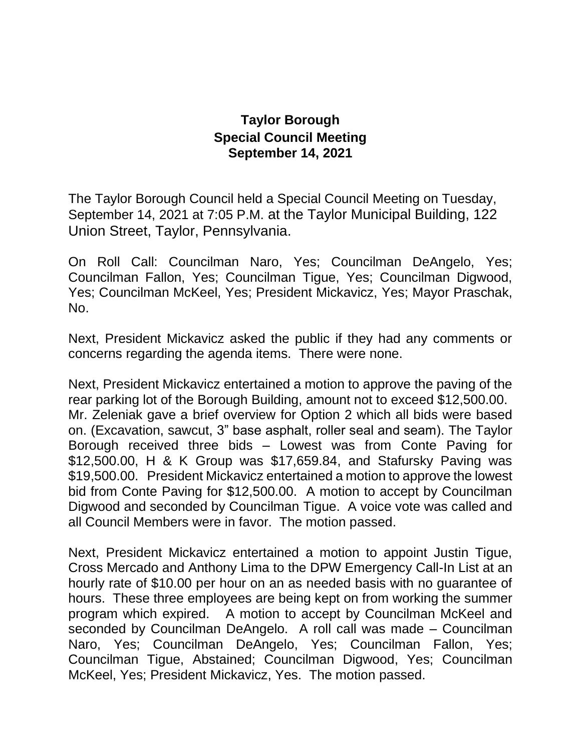## **Taylor Borough Special Council Meeting September 14, 2021**

The Taylor Borough Council held a Special Council Meeting on Tuesday, September 14, 2021 at 7:05 P.M. at the Taylor Municipal Building, 122 Union Street, Taylor, Pennsylvania.

On Roll Call: Councilman Naro, Yes; Councilman DeAngelo, Yes; Councilman Fallon, Yes; Councilman Tigue, Yes; Councilman Digwood, Yes; Councilman McKeel, Yes; President Mickavicz, Yes; Mayor Praschak, No.

Next, President Mickavicz asked the public if they had any comments or concerns regarding the agenda items. There were none.

Next, President Mickavicz entertained a motion to approve the paving of the rear parking lot of the Borough Building, amount not to exceed \$12,500.00. Mr. Zeleniak gave a brief overview for Option 2 which all bids were based on. (Excavation, sawcut, 3" base asphalt, roller seal and seam). The Taylor Borough received three bids – Lowest was from Conte Paving for \$12,500.00, H & K Group was \$17,659.84, and Stafursky Paving was \$19,500.00. President Mickavicz entertained a motion to approve the lowest bid from Conte Paving for \$12,500.00. A motion to accept by Councilman Digwood and seconded by Councilman Tigue. A voice vote was called and all Council Members were in favor. The motion passed.

Next, President Mickavicz entertained a motion to appoint Justin Tigue, Cross Mercado and Anthony Lima to the DPW Emergency Call-In List at an hourly rate of \$10.00 per hour on an as needed basis with no guarantee of hours. These three employees are being kept on from working the summer program which expired. A motion to accept by Councilman McKeel and seconded by Councilman DeAngelo. A roll call was made – Councilman Naro, Yes; Councilman DeAngelo, Yes; Councilman Fallon, Yes; Councilman Tigue, Abstained; Councilman Digwood, Yes; Councilman McKeel, Yes; President Mickavicz, Yes. The motion passed.